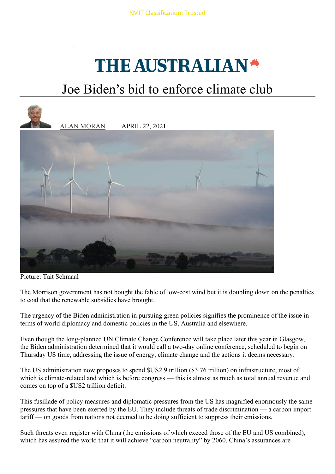## THE AUSTRALIAN<sup>®</sup>

## Joe Biden's bid to enforce climate club



Picture: Tait Schmaal

The Morrison government has not bought the fable of low-cost wind but it is doubling down on the penalties to coal that the renewable subsidies have brought.

The urgency of the Biden administration in pursuing green policies signifies the prominence of the issue in terms of world diplomacy and domestic policies in the US, Australia and elsewhere.

Even though the long-planned UN Climate Change Conference will take place later this year in Glasgow, the Biden administration determined that it would call a two-day online conference, scheduled to begin on Thursday US time, addressing the issue of energy, climate change and the actions it deems necessary.

The US administration now proposes to spend \$US2.9 trillion (\$3.76 trillion) on infrastructure, most of which is climate-related and which is before congress — this is almost as much as total annual revenue and comes on top of a \$US2 trillion deficit.

This fusillade of policy measures and diplomatic pressures from the US has magnified enormously the same pressures that have been exerted by the EU. They include threats of trade discrimination — a carbon import tariff — on goods from nations not deemed to be doing sufficient to suppress their emissions.

Such threats even register with China (the emissions of which exceed those of the EU and US combined), which has assured the world that it will achieve "carbon neutrality" by 2060. China's assurances are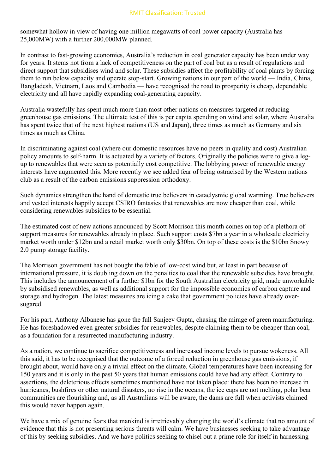somewhat hollow in view of having one million megawatts of coal power capacity (Australia has 25,000MW) with a further 200,000MW planned.

In contrast to fast-growing economies, Australia's reduction in coal generator capacity has been under way for years. It stems not from a lack of competitiveness on the part of coal but as a result of regulations and direct support that subsidises wind and solar. These subsidies affect the profitability of coal plants by forcing them to run below capacity and operate stop-start. Growing nations in our part of the world — India, China, Bangladesh, Vietnam, Laos and Cambodia — have recognised the road to prosperity is cheap, dependable electricity and all have rapidly expanding coal-generating capacity.

Australia wastefully has spent much more than most other nations on measures targeted at reducing greenhouse gas emissions. The ultimate test of this is per capita spending on wind and solar, where Australia has spent twice that of the next highest nations (US and Japan), three times as much as Germany and six times as much as China.

In discriminating against coal (where our domestic resources have no peers in quality and cost) Australian policy amounts to self-harm. It is actuated by a variety of factors. Originally the policies were to give a legup to renewables that were seen as potentially cost competitive. The lobbying power of renewable energy interests have augmented this. More recently we see added fear of being ostracised by the Western nations club as a result of the carbon emissions suppression orthodoxy.

Such dynamics strengthen the hand of domestic true believers in cataclysmic global warming. True believers and vested interests happily accept CSIRO fantasies that renewables are now cheaper than coal, while considering renewables subsidies to be essential.

The estimated cost of new actions announced by Scott Morrison this month comes on top of a plethora of support measures for renewables already in place. Such support costs \$7bn a year in a wholesale electricity market worth under \$12bn and a retail market worth only \$30bn. On top of these costs is the \$10bn Snowy 2.0 pump storage facility.

The Morrison government has not bought the fable of low-cost wind but, at least in part because of international pressure, it is doubling down on the penalties to coal that the renewable subsidies have brought. This includes the announcement of a further \$1bn for the South Australian electricity grid, made unworkable by subsidised renewables, as well as additional support for the impossible economics of carbon capture and storage and hydrogen. The latest measures are icing a cake that government policies have already oversugared.

For his part, Anthony Albanese has gone the full Sanjeev Gupta, chasing the mirage of green manufacturing. He has foreshadowed even greater subsidies for renewables, despite claiming them to be cheaper than coal, as a foundation for a resurrected manufacturing industry.

As a nation, we continue to sacrifice competitiveness and increased income levels to pursue wokeness. All this said, it has to be recognised that the outcome of a forced reduction in greenhouse gas emissions, if brought about, would have only a trivial effect on the climate. Global temperatures have been increasing for 150 years and it is only in the past 50 years that human emissions could have had any effect. Contrary to assertions, the deleterious effects sometimes mentioned have not taken place: there has been no increase in hurricanes, bushfires or other natural disasters, no rise in the oceans, the ice caps are not melting, polar bear communities are flourishing and, as all Australians will be aware, the dams are full when activists claimed this would never happen again.

We have a mix of genuine fears that mankind is irretrievably changing the world's climate that no amount of evidence that this is not presenting serious threats will calm. We have businesses seeking to take advantage of this by seeking subsidies. And we have politics seeking to chisel out a prime role for itself in harnessing